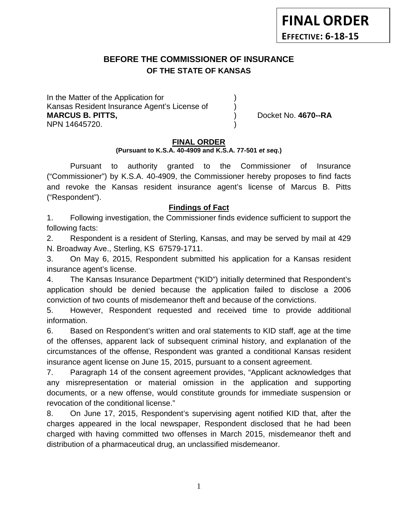# **BEFORE THE COMMISSIONER OF INSURANCE OF THE STATE OF KANSAS**

In the Matter of the Application for Kansas Resident Insurance Agent's License of ) **MARCUS B. PITTS,**  (a) (b) Docket No. 4670--RA NPN 14645720. )

#### **FINAL ORDER**

**(Pursuant to K.S.A. 40-4909 and K.S.A. 77-501** *et seq.***)**

Pursuant to authority granted to the Commissioner of Insurance ("Commissioner") by K.S.A. 40-4909, the Commissioner hereby proposes to find facts and revoke the Kansas resident insurance agent's license of Marcus B. Pitts ("Respondent").

#### **Findings of Fact**

1. Following investigation, the Commissioner finds evidence sufficient to support the following facts:

2. Respondent is a resident of Sterling, Kansas, and may be served by mail at 429 N. Broadway Ave., Sterling, KS 67579-1711.

3. On May 6, 2015, Respondent submitted his application for a Kansas resident insurance agent's license.

4. The Kansas Insurance Department ("KID") initially determined that Respondent's application should be denied because the application failed to disclose a 2006 conviction of two counts of misdemeanor theft and because of the convictions.

5. However, Respondent requested and received time to provide additional information.

6. Based on Respondent's written and oral statements to KID staff, age at the time of the offenses, apparent lack of subsequent criminal history, and explanation of the circumstances of the offense, Respondent was granted a conditional Kansas resident insurance agent license on June 15, 2015, pursuant to a consent agreement.

7. Paragraph 14 of the consent agreement provides, "Applicant acknowledges that any misrepresentation or material omission in the application and supporting documents, or a new offense, would constitute grounds for immediate suspension or revocation of the conditional license."

8. On June 17, 2015, Respondent's supervising agent notified KID that, after the charges appeared in the local newspaper, Respondent disclosed that he had been charged with having committed two offenses in March 2015, misdemeanor theft and distribution of a pharmaceutical drug, an unclassified misdemeanor.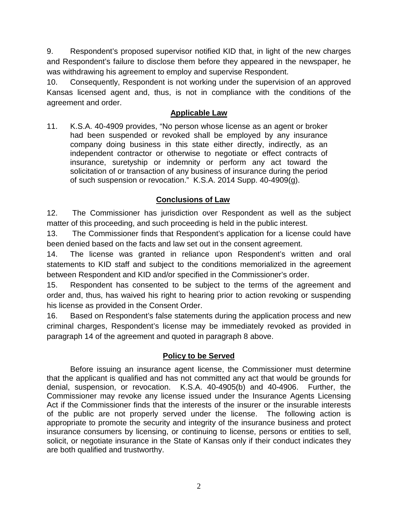9. Respondent's proposed supervisor notified KID that, in light of the new charges and Respondent's failure to disclose them before they appeared in the newspaper, he was withdrawing his agreement to employ and supervise Respondent.

10. Consequently, Respondent is not working under the supervision of an approved Kansas licensed agent and, thus, is not in compliance with the conditions of the agreement and order.

#### **Applicable Law**

11. K.S.A. 40-4909 provides, "No person whose license as an agent or broker had been suspended or revoked shall be employed by any insurance company doing business in this state either directly, indirectly, as an independent contractor or otherwise to negotiate or effect contracts of insurance, suretyship or indemnity or perform any act toward the solicitation of or transaction of any business of insurance during the period of such suspension or revocation." K.S.A. 2014 Supp. 40-4909(g).

## **Conclusions of Law**

12. The Commissioner has jurisdiction over Respondent as well as the subject matter of this proceeding, and such proceeding is held in the public interest.

13. The Commissioner finds that Respondent's application for a license could have been denied based on the facts and law set out in the consent agreement.

14. The license was granted in reliance upon Respondent's written and oral statements to KID staff and subject to the conditions memorialized in the agreement between Respondent and KID and/or specified in the Commissioner's order.

15. Respondent has consented to be subject to the terms of the agreement and order and, thus, has waived his right to hearing prior to action revoking or suspending his license as provided in the Consent Order.

16. Based on Respondent's false statements during the application process and new criminal charges, Respondent's license may be immediately revoked as provided in paragraph 14 of the agreement and quoted in paragraph 8 above.

### **Policy to be Served**

Before issuing an insurance agent license, the Commissioner must determine that the applicant is qualified and has not committed any act that would be grounds for denial, suspension, or revocation. K.S.A. 40-4905(b) and 40-4906. Further, the Commissioner may revoke any license issued under the Insurance Agents Licensing Act if the Commissioner finds that the interests of the insurer or the insurable interests of the public are not properly served under the license. The following action is appropriate to promote the security and integrity of the insurance business and protect insurance consumers by licensing, or continuing to license, persons or entities to sell, solicit, or negotiate insurance in the State of Kansas only if their conduct indicates they are both qualified and trustworthy.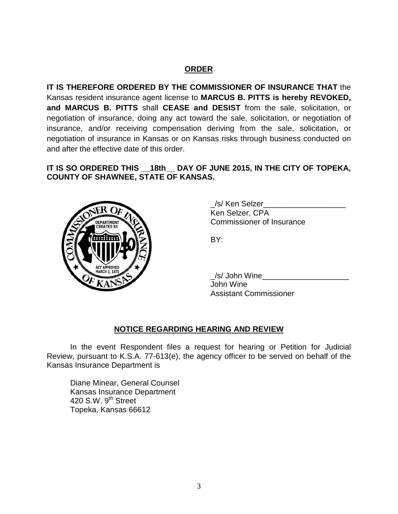# **ORDER**

**IT IS THEREFORE ORDERED BY THE COMMISSIONER OF INSURANCE THAT** the Kansas resident insurance agent license to **MARCUS B. PITTS is hereby REVOKED, and MARCUS B. PITTS** shall **CEASE and DESIST** from the sale, solicitation, or negotiation of insurance, doing any act toward the sale, solicitation, or negotiation of insurance, and/or receiving compensation deriving from the sale, solicitation, or negotiation of insurance in Kansas or on Kansas risks through business conducted on and after the effective date of this order.

## **IT IS SO ORDERED THIS \_\_18th\_\_ DAY OF JUNE 2015, IN THE CITY OF TOPEKA, COUNTY OF SHAWNEE, STATE OF KANSAS.**



/s/ Ken Selzer Ken Selzer, CPA Commissioner of Insurance

BY:

/s/ John Wine John Wine Assistant Commissioner

### **NOTICE REGARDING HEARING AND REVIEW**

In the event Respondent files a request for hearing or Petition for Judicial Review, pursuant to K.S.A. 77-613(e), the agency officer to be served on behalf of the Kansas Insurance Department is

Diane Minear, General Counsel Kansas Insurance Department 420 S.W.  $9<sup>th</sup>$  Street Topeka, Kansas 66612